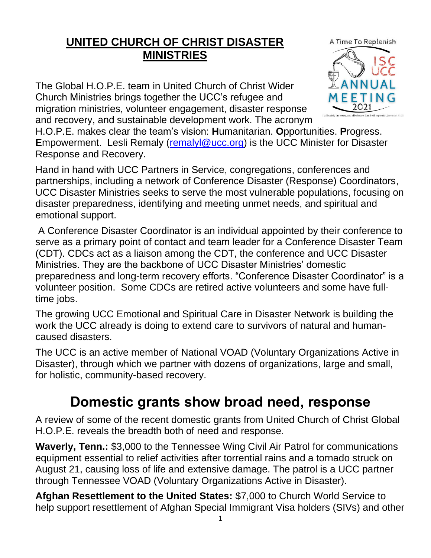## **UNITED CHURCH OF CHRIST DISASTER MINISTRIES**

The Global H.O.P.E. team in United Church of Christ Wider Church Ministries brings together the UCC's refugee and migration ministries, volunteer engagement, disaster response and recovery, and sustainable development work. The acronym A Time To Replenish **ANNUAL FFTING** 

H.O.P.E. makes clear the team's vision: **H**umanitarian. **O**pportunities. **P**rogress. **E**mpowerment. Lesli Remaly (remaly aucc.org) is the UCC Minister for Disaster Response and Recovery.

Hand in hand with UCC Partners in Service, congregations, conferences and partnerships, including a network of Conference Disaster (Response) Coordinators, UCC Disaster Ministries seeks to serve the most vulnerable populations, focusing on disaster preparedness, identifying and meeting unmet needs, and spiritual and emotional support.

A Conference Disaster Coordinator is an individual appointed by their conference to serve as a primary point of contact and team leader for a Conference Disaster Team (CDT). CDCs act as a liaison among the CDT, the conference and UCC Disaster Ministries. They are the backbone of UCC Disaster Ministries' domestic preparedness and long-term recovery efforts. "Conference Disaster Coordinator" is a volunteer position. Some CDCs are retired active volunteers and some have fulltime jobs.

The growing UCC Emotional and Spiritual Care in Disaster Network is building the work the UCC already is doing to extend care to survivors of natural and humancaused disasters.

The UCC is an active member of National VOAD (Voluntary Organizations Active in Disaster), through which we partner with dozens of organizations, large and small, for holistic, community-based recovery.

## **Domestic grants show broad need, response**

A review of some of the recent domestic grants from United Church of Christ Global H.O.P.E. reveals the breadth both of need and response.

**Waverly, Tenn.:** \$3,000 to the Tennessee Wing Civil Air Patrol for communications equipment essential to relief activities after torrential rains and a tornado struck on August 21, causing loss of life and extensive damage. The patrol is a UCC partner through Tennessee VOAD (Voluntary Organizations Active in Disaster).

**Afghan Resettlement to the United States:** \$7,000 to Church World Service to help support resettlement of Afghan Special Immigrant Visa holders (SIVs) and other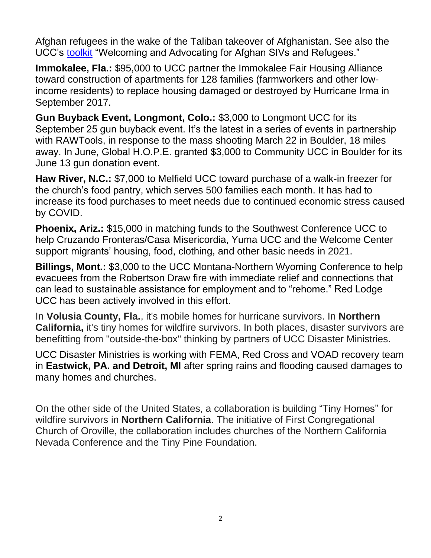Afghan refugees in the wake of the Taliban takeover of Afghanistan. See also the UCC's [toolkit](https://www.ucc.org/welcoming-and-advocating-for-afghan-sivs-and-refugees-a-toolkit/) "Welcoming and Advocating for Afghan SIVs and Refugees."

**Immokalee, Fla.:** \$95,000 to UCC partner the Immokalee Fair Housing Alliance toward construction of apartments for 128 families (farmworkers and other lowincome residents) to replace housing damaged or destroyed by Hurricane Irma in September 2017.

**Gun Buyback Event, Longmont, Colo.:** \$3,000 to Longmont UCC for its September 25 gun buyback event. It's the latest in a series of events in partnership with RAWTools, in response to the mass shooting March 22 in Boulder, 18 miles away. In June, Global H.O.P.E. granted \$3,000 to Community UCC in Boulder for its June 13 gun donation event.

**Haw River, N.C.:** \$7,000 to Melfield UCC toward purchase of a walk-in freezer for the church's food pantry, which serves 500 families each month. It has had to increase its food purchases to meet needs due to continued economic stress caused by COVID.

**Phoenix, Ariz.:** \$15,000 in matching funds to the Southwest Conference UCC to help Cruzando Fronteras/Casa Misericordia, Yuma UCC and the Welcome Center support migrants' housing, food, clothing, and other basic needs in 2021.

**Billings, Mont.:** \$3,000 to the UCC Montana-Northern Wyoming Conference to help evacuees from the Robertson Draw fire with immediate relief and connections that can lead to sustainable assistance for employment and to "rehome." Red Lodge UCC has been actively involved in this effort.

In **Volusia County, Fla.**, it's mobile homes for hurricane survivors. In **Northern California,** it's tiny homes for wildfire survivors. In both places, disaster survivors are benefitting from "outside-the-box" thinking by partners of UCC Disaster Ministries.

UCC Disaster Ministries is working with FEMA, Red Cross and VOAD recovery team in **Eastwick, PA. and Detroit, MI** after spring rains and flooding caused damages to many homes and churches.

On the other side of the United States, a collaboration is building "Tiny Homes" for wildfire survivors in **Northern California**. The initiative of First Congregational Church of Oroville, the collaboration includes churches of the Northern California Nevada Conference and the Tiny Pine Foundation.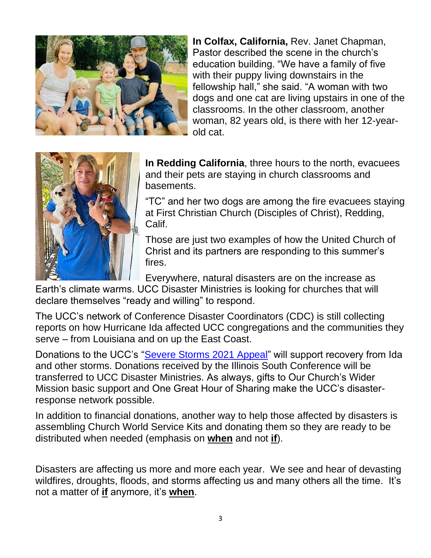

**In Colfax, California,** Rev. Janet Chapman, Pastor described the scene in the church's education building. "We have a family of five with their puppy living downstairs in the fellowship hall," she said. "A woman with two dogs and one cat are living upstairs in one of the classrooms. In the other classroom, another woman, 82 years old, is there with her 12-yearold cat.



**In Redding California**, three hours to the north, evacuees and their pets are staying in church classrooms and basements.

"TC" and her two dogs are among the fire evacuees staying at First Christian Church (Disciples of Christ), Redding, Calif.

Those are just two examples of how the United Church of Christ and its partners are responding to this summer's fires.

Everywhere, natural disasters are on the increase as

Earth's climate warms. UCC Disaster Ministries is looking for churches that will declare themselves "ready and willing" to respond.

The UCC's network of Conference Disaster Coordinators (CDC) is still collecting reports on how Hurricane Ida affected UCC congregations and the communities they serve – from Louisiana and on up the East Coast.

Donations to the UCC's ["Severe Storms 2021 Appeal"](https://www.ucc.org/appeal-severe-storms-2021/) will support recovery from Ida and other storms. Donations received by the Illinois South Conference will be transferred to UCC Disaster Ministries. As always, gifts to Our Church's Wider Mission basic support and One Great Hour of Sharing make the UCC's disasterresponse network possible.

In addition to financial donations, another way to help those affected by disasters is assembling Church World Service Kits and donating them so they are ready to be distributed when needed (emphasis on **when** and not **if**).

Disasters are affecting us more and more each year. We see and hear of devasting wildfires, droughts, floods, and storms affecting us and many others all the time. It's not a matter of **if** anymore, it's **when**.